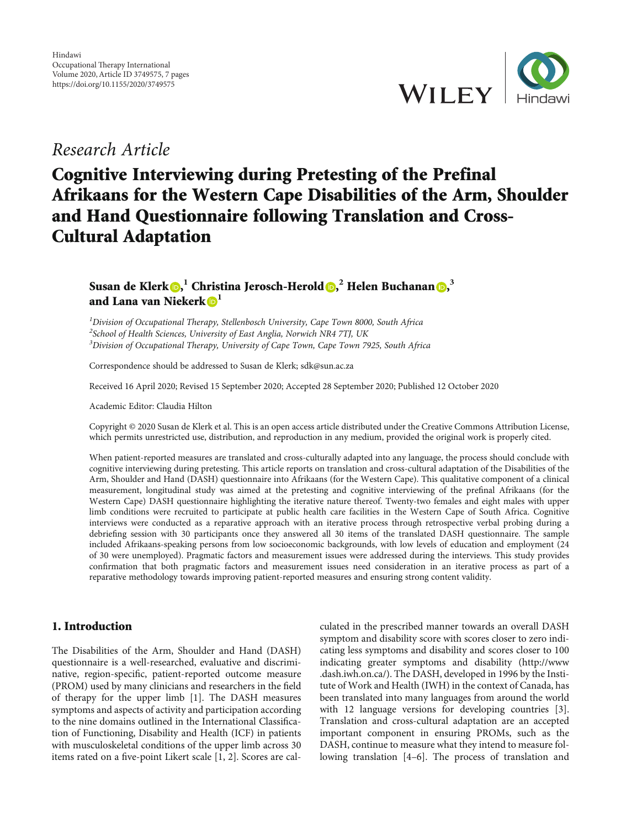

## Research Article

# Cognitive Interviewing during Pretesting of the Prefinal Afrikaans for the Western Cape Disabilities of the Arm, Shoulder and Hand Questionnaire following Translation and Cross-Cultural Adaptation

### $\boldsymbol{\delta}$ usan de Klerk $\boldsymbol{\Theta},^1$  $\boldsymbol{\Theta},^1$  $\boldsymbol{\Theta},^1$  Christina Jerosch-Herold $\boldsymbol{\Theta},^2$  Helen Buchanan $\boldsymbol{\Theta},^3$ and Lana van Niekerk **<sup>1</sup>**

 ${}^{1}$ Division of Occupational Therapy, Stellenbosch University, Cape Town 8000, South Africa <sup>2</sup>School of Health Sciences, University of East Anglia, Norwich NR4 7TJ, UK  $^3$ Division of Occupational Therapy, University of Cape Town, Cape Town 7925, South Africa

Correspondence should be addressed to Susan de Klerk; sdk@sun.ac.za

Received 16 April 2020; Revised 15 September 2020; Accepted 28 September 2020; Published 12 October 2020

Academic Editor: Claudia Hilton

Copyright © 2020 Susan de Klerk et al. This is an open access article distributed under the [Creative Commons Attribution License](https://creativecommons.org/licenses/by/4.0/), which permits unrestricted use, distribution, and reproduction in any medium, provided the original work is properly cited.

When patient-reported measures are translated and cross-culturally adapted into any language, the process should conclude with cognitive interviewing during pretesting. This article reports on translation and cross-cultural adaptation of the Disabilities of the Arm, Shoulder and Hand (DASH) questionnaire into Afrikaans (for the Western Cape). This qualitative component of a clinical measurement, longitudinal study was aimed at the pretesting and cognitive interviewing of the prefinal Afrikaans (for the Western Cape) DASH questionnaire highlighting the iterative nature thereof. Twenty-two females and eight males with upper limb conditions were recruited to participate at public health care facilities in the Western Cape of South Africa. Cognitive interviews were conducted as a reparative approach with an iterative process through retrospective verbal probing during a debriefing session with 30 participants once they answered all 30 items of the translated DASH questionnaire. The sample included Afrikaans-speaking persons from low socioeconomic backgrounds, with low levels of education and employment (24 of 30 were unemployed). Pragmatic factors and measurement issues were addressed during the interviews. This study provides confirmation that both pragmatic factors and measurement issues need consideration in an iterative process as part of a reparative methodology towards improving patient-reported measures and ensuring strong content validity.

#### 1. Introduction

The Disabilities of the Arm, Shoulder and Hand (DASH) questionnaire is a well-researched, evaluative and discriminative, region-specific, patient-reported outcome measure (PROM) used by many clinicians and researchers in the field of therapy for the upper limb [[1\]](#page-5-0). The DASH measures symptoms and aspects of activity and participation according to the nine domains outlined in the International Classification of Functioning, Disability and Health (ICF) in patients with musculoskeletal conditions of the upper limb across 30 items rated on a five-point Likert scale [[1](#page-5-0), [2](#page-5-0)]. Scores are cal-

culated in the prescribed manner towards an overall DASH symptom and disability score with scores closer to zero indicating less symptoms and disability and scores closer to 100 indicating greater symptoms and disability [\(http://www](http://www.dash.iwh.on.ca/)) [.dash.iwh.on.ca/\).](http://www.dash.iwh.on.ca/)) The DASH, developed in 1996 by the Institute of Work and Health (IWH) in the context of Canada, has been translated into many languages from around the world with 12 language versions for developing countries [[3](#page-5-0)]. Translation and cross-cultural adaptation are an accepted important component in ensuring PROMs, such as the DASH, continue to measure what they intend to measure following translation [[4](#page-5-0)–[6](#page-5-0)]. The process of translation and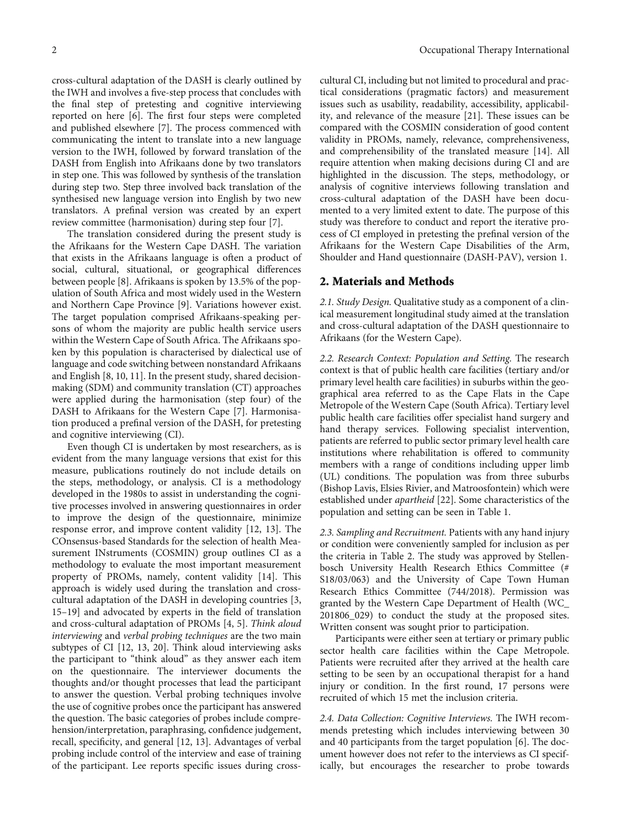cross-cultural adaptation of the DASH is clearly outlined by the IWH and involves a five-step process that concludes with the final step of pretesting and cognitive interviewing reported on here [[6](#page-5-0)]. The first four steps were completed and published elsewhere [[7\]](#page-5-0). The process commenced with communicating the intent to translate into a new language version to the IWH, followed by forward translation of the DASH from English into Afrikaans done by two translators in step one. This was followed by synthesis of the translation during step two. Step three involved back translation of the synthesised new language version into English by two new translators. A prefinal version was created by an expert review committee (harmonisation) during step four [\[7\]](#page-5-0).

The translation considered during the present study is the Afrikaans for the Western Cape DASH. The variation that exists in the Afrikaans language is often a product of social, cultural, situational, or geographical differences between people [[8\]](#page-6-0). Afrikaans is spoken by 13.5% of the population of South Africa and most widely used in the Western and Northern Cape Province [[9\]](#page-6-0). Variations however exist. The target population comprised Afrikaans-speaking persons of whom the majority are public health service users within the Western Cape of South Africa. The Afrikaans spoken by this population is characterised by dialectical use of language and code switching between nonstandard Afrikaans and English [[8](#page-6-0), [10](#page-6-0), [11](#page-6-0)]. In the present study, shared decisionmaking (SDM) and community translation (CT) approaches were applied during the harmonisation (step four) of the DASH to Afrikaans for the Western Cape [[7\]](#page-5-0). Harmonisation produced a prefinal version of the DASH, for pretesting and cognitive interviewing (CI).

Even though CI is undertaken by most researchers, as is evident from the many language versions that exist for this measure, publications routinely do not include details on the steps, methodology, or analysis. CI is a methodology developed in the 1980s to assist in understanding the cognitive processes involved in answering questionnaires in order to improve the design of the questionnaire, minimize response error, and improve content validity [[12, 13\]](#page-6-0). The COnsensus-based Standards for the selection of health Measurement INstruments (COSMIN) group outlines CI as a methodology to evaluate the most important measurement property of PROMs, namely, content validity [[14](#page-6-0)]. This approach is widely used during the translation and crosscultural adaptation of the DASH in developing countries [\[3,](#page-5-0) [15](#page-6-0)–[19](#page-6-0)] and advocated by experts in the field of translation and cross-cultural adaptation of PROMs [\[4, 5\]](#page-5-0). Think aloud interviewing and verbal probing techniques are the two main subtypes of CI [[12, 13](#page-6-0), [20\]](#page-6-0). Think aloud interviewing asks the participant to "think aloud" as they answer each item on the questionnaire. The interviewer documents the thoughts and/or thought processes that lead the participant to answer the question. Verbal probing techniques involve the use of cognitive probes once the participant has answered the question. The basic categories of probes include comprehension/interpretation, paraphrasing, confidence judgement, recall, specificity, and general [\[12, 13](#page-6-0)]. Advantages of verbal probing include control of the interview and ease of training of the participant. Lee reports specific issues during crosscultural CI, including but not limited to procedural and practical considerations (pragmatic factors) and measurement issues such as usability, readability, accessibility, applicability, and relevance of the measure [[21](#page-6-0)]. These issues can be compared with the COSMIN consideration of good content validity in PROMs, namely, relevance, comprehensiveness, and comprehensibility of the translated measure [[14](#page-6-0)]. All require attention when making decisions during CI and are highlighted in the discussion. The steps, methodology, or analysis of cognitive interviews following translation and cross-cultural adaptation of the DASH have been documented to a very limited extent to date. The purpose of this study was therefore to conduct and report the iterative process of CI employed in pretesting the prefinal version of the Afrikaans for the Western Cape Disabilities of the Arm, Shoulder and Hand questionnaire (DASH-PAV), version 1.

#### 2. Materials and Methods

2.1. Study Design. Qualitative study as a component of a clinical measurement longitudinal study aimed at the translation and cross-cultural adaptation of the DASH questionnaire to Afrikaans (for the Western Cape).

2.2. Research Context: Population and Setting. The research context is that of public health care facilities (tertiary and/or primary level health care facilities) in suburbs within the geographical area referred to as the Cape Flats in the Cape Metropole of the Western Cape (South Africa). Tertiary level public health care facilities offer specialist hand surgery and hand therapy services. Following specialist intervention, patients are referred to public sector primary level health care institutions where rehabilitation is offered to community members with a range of conditions including upper limb (UL) conditions. The population was from three suburbs (Bishop Lavis, Elsies Rivier, and Matroosfontein) which were established under apartheid [[22](#page-6-0)]. Some characteristics of the population and setting can be seen in Table [1](#page-2-0).

2.3. Sampling and Recruitment. Patients with any hand injury or condition were conveniently sampled for inclusion as per the criteria in Table [2](#page-2-0). The study was approved by Stellenbosch University Health Research Ethics Committee (# S18/03/063) and the University of Cape Town Human Research Ethics Committee (744/2018). Permission was granted by the Western Cape Department of Health (WC\_ 201806\_029) to conduct the study at the proposed sites. Written consent was sought prior to participation.

Participants were either seen at tertiary or primary public sector health care facilities within the Cape Metropole. Patients were recruited after they arrived at the health care setting to be seen by an occupational therapist for a hand injury or condition. In the first round, 17 persons were recruited of which 15 met the inclusion criteria.

2.4. Data Collection: Cognitive Interviews. The IWH recommends pretesting which includes interviewing between 30 and 40 participants from the target population [[6\]](#page-5-0). The document however does not refer to the interviews as CI specifically, but encourages the researcher to probe towards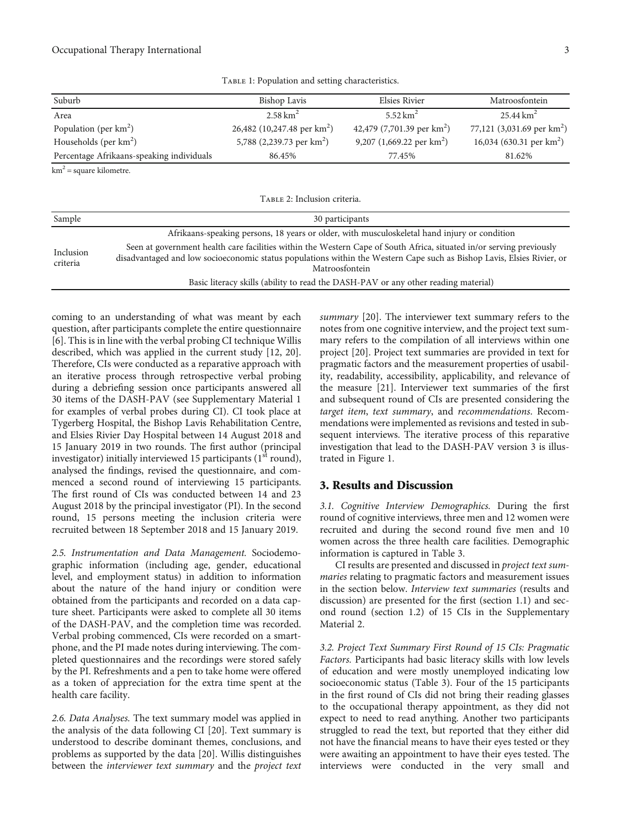<span id="page-2-0"></span>

| Suburb                                    | Bishop Lavis                          | Elsies Rivier                | Matroosfontein                |
|-------------------------------------------|---------------------------------------|------------------------------|-------------------------------|
| Area                                      | 2.58 km <sup>2</sup>                  | 5.52 km <sup>2</sup>         | $25.44 \,\mathrm{km}^2$       |
| Population (per $km2$ )                   | 26,482 (10,247.48 per $\text{km}^2$ ) | 42,479 (7,701.39 per $km2$ ) | 77,121 (3,031.69 per $km^2$ ) |
| Households (per $km^2$ )                  | 5,788 (2,239.73 per $km2$ )           | 9,207 (1,669.22 per $km^2$ ) | 16,034 (630.31 per $km^2$ )   |
| Percentage Afrikaans-speaking individuals | 86.45%                                | 77.45%                       | 81.62%                        |
|                                           |                                       |                              |                               |

TABLE 1: Population and setting characteristics.

 $km^2$  = square kilometre.

Table 2: Inclusion criteria.

| Sample                | 30 participants                                                                                                                                                                                                                                                  |  |  |
|-----------------------|------------------------------------------------------------------------------------------------------------------------------------------------------------------------------------------------------------------------------------------------------------------|--|--|
| Inclusion<br>criteria | Afrikaans-speaking persons, 18 years or older, with musculoskeletal hand injury or condition                                                                                                                                                                     |  |  |
|                       | Seen at government health care facilities within the Western Cape of South Africa, situated in/or serving previously<br>disadvantaged and low socioeconomic status populations within the Western Cape such as Bishop Lavis, Elsies Rivier, or<br>Matroosfontein |  |  |
|                       | Basic literacy skills (ability to read the DASH-PAV or any other reading material)                                                                                                                                                                               |  |  |

coming to an understanding of what was meant by each question, after participants complete the entire questionnaire [\[6](#page-5-0)]. This is in line with the verbal probing CI technique Willis described, which was applied in the current study [[12](#page-6-0), [20](#page-6-0)]. Therefore, CIs were conducted as a reparative approach with an iterative process through retrospective verbal probing during a debriefing session once participants answered all 30 items of the DASH-PAV (see Supplementary Material [1](#page-5-0) for examples of verbal probes during CI). CI took place at Tygerberg Hospital, the Bishop Lavis Rehabilitation Centre, and Elsies Rivier Day Hospital between 14 August 2018 and 15 January 2019 in two rounds. The first author (principal investigator) initially interviewed 15 participants  $(1<sup>st</sup>$  round), analysed the findings, revised the questionnaire, and commenced a second round of interviewing 15 participants. The first round of CIs was conducted between 14 and 23 August 2018 by the principal investigator (PI). In the second round, 15 persons meeting the inclusion criteria were recruited between 18 September 2018 and 15 January 2019.

2.5. Instrumentation and Data Management. Sociodemographic information (including age, gender, educational level, and employment status) in addition to information about the nature of the hand injury or condition were obtained from the participants and recorded on a data capture sheet. Participants were asked to complete all 30 items of the DASH-PAV, and the completion time was recorded. Verbal probing commenced, CIs were recorded on a smartphone, and the PI made notes during interviewing. The completed questionnaires and the recordings were stored safely by the PI. Refreshments and a pen to take home were offered as a token of appreciation for the extra time spent at the health care facility.

2.6. Data Analyses. The text summary model was applied in the analysis of the data following CI [\[20\]](#page-6-0). Text summary is understood to describe dominant themes, conclusions, and problems as supported by the data [[20](#page-6-0)]. Willis distinguishes between the interviewer text summary and the project text summary [\[20\]](#page-6-0). The interviewer text summary refers to the notes from one cognitive interview, and the project text summary refers to the compilation of all interviews within one project [\[20\]](#page-6-0). Project text summaries are provided in text for pragmatic factors and the measurement properties of usability, readability, accessibility, applicability, and relevance of the measure [\[21\]](#page-6-0). Interviewer text summaries of the first and subsequent round of CIs are presented considering the target item, text summary, and recommendations. Recommendations were implemented as revisions and tested in subsequent interviews. The iterative process of this reparative investigation that lead to the DASH-PAV version 3 is illustrated in Figure [1.](#page-3-0)

#### 3. Results and Discussion

3.1. Cognitive Interview Demographics. During the first round of cognitive interviews, three men and 12 women were recruited and during the second round five men and 10 women across the three health care facilities. Demographic information is captured in Table [3.](#page-3-0)

CI results are presented and discussed in project text summaries relating to pragmatic factors and measurement issues in the section below. Interview text summaries (results and discussion) are presented for the first (section 1.1) and second round (section 1.2) of 15 CIs in the Supplementary Material [2](#page-5-0).

3.2. Project Text Summary First Round of 15 CIs: Pragmatic Factors. Participants had basic literacy skills with low levels of education and were mostly unemployed indicating low socioeconomic status (Table [3](#page-3-0)). Four of the 15 participants in the first round of CIs did not bring their reading glasses to the occupational therapy appointment, as they did not expect to need to read anything. Another two participants struggled to read the text, but reported that they either did not have the financial means to have their eyes tested or they were awaiting an appointment to have their eyes tested. The interviews were conducted in the very small and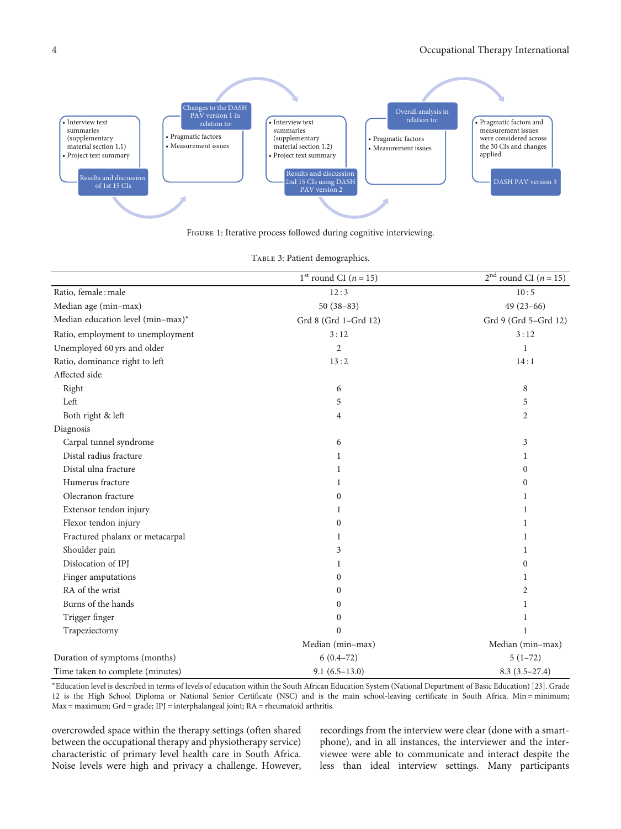<span id="page-3-0"></span>

FIGURE 1: Iterative process followed during cognitive interviewing.

|                                   | $1st$ round CI ( <i>n</i> = 15) | $2nd$ round CI ( <i>n</i> = 15) |
|-----------------------------------|---------------------------------|---------------------------------|
| Ratio, female: male               | 12:3                            | 10:5                            |
| Median age (min-max)              | $50(38-83)$                     | $49(23-66)$                     |
| Median education level (min-max)* | Grd 8 (Grd 1-Grd 12)            | Grd 9 (Grd 5-Grd 12)            |
| Ratio, employment to unemployment | 3:12                            | 3:12                            |
| Unemployed 60 yrs and older       | $\overline{2}$                  | 1                               |
| Ratio, dominance right to left    | 13:2                            | 14:1                            |
| Affected side                     |                                 |                                 |
| Right                             | 6                               | 8                               |
| Left                              | 5                               | 5                               |
| Both right & left                 | 4                               | 2                               |
| Diagnosis                         |                                 |                                 |
| Carpal tunnel syndrome            | 6                               | 3                               |
| Distal radius fracture            | 1                               | 1                               |
| Distal ulna fracture              | 1                               | $\mathbf{0}$                    |
| Humerus fracture                  | 1                               | $\mathbf{0}$                    |
| Olecranon fracture                | $\overline{0}$                  | 1                               |
| Extensor tendon injury            | 1                               | 1                               |
| Flexor tendon injury              | $\mathbf{0}$                    | 1                               |
| Fractured phalanx or metacarpal   | 1                               | 1                               |
| Shoulder pain                     | 3                               | 1                               |
| Dislocation of IPJ                | 1                               | $\mathbf{0}$                    |
| Finger amputations                | $\Omega$                        | 1                               |
| RA of the wrist                   | $\Omega$                        | 2                               |
| Burns of the hands                | $\Omega$                        | 1                               |
| Trigger finger                    | $\Omega$                        | 1                               |
| Trapeziectomy                     | $\Omega$                        | 1                               |
|                                   | Median (min-max)                | Median (min-max)                |
| Duration of symptoms (months)     | $6(0.4-72)$                     | $5(1-72)$                       |
| Time taken to complete (minutes)  | $9.1(6.5-13.0)$                 | $8.3(3.5-27.4)$                 |

TABLE 3: Patient demographics.

<sup>∗</sup>Education level is described in terms of levels of education within the South African Education System (National Department of Basic Education) [[23](#page-6-0)]. Grade 12 is the High School Diploma or National Senior Certificate (NSC) and is the main school-leaving certificate in South Africa. Min = minimum; Max = maximum; Grd = grade; IPJ = interphalangeal joint; RA = rheumatoid arthritis.

overcrowded space within the therapy settings (often shared between the occupational therapy and physiotherapy service) characteristic of primary level health care in South Africa. Noise levels were high and privacy a challenge. However,

recordings from the interview were clear (done with a smartphone), and in all instances, the interviewer and the interviewee were able to communicate and interact despite the less than ideal interview settings. Many participants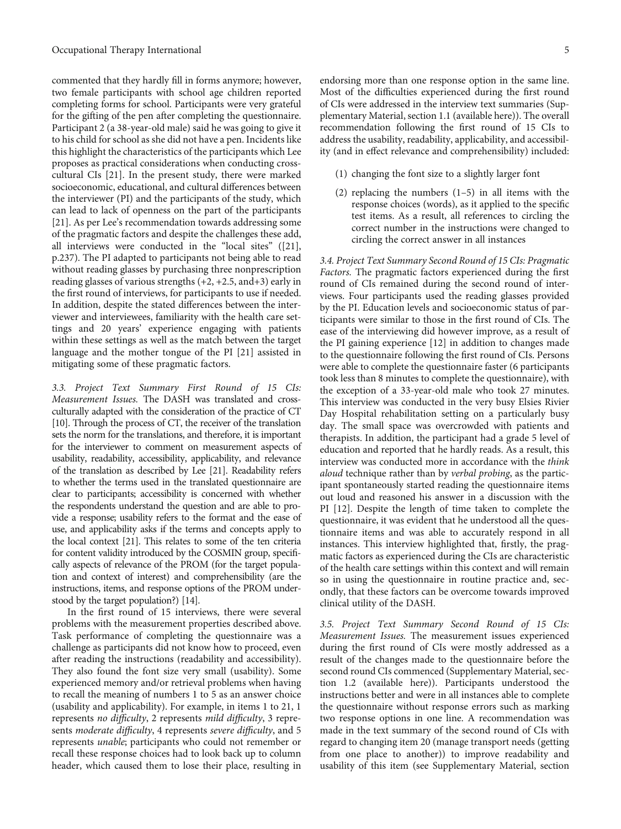commented that they hardly fill in forms anymore; however, two female participants with school age children reported completing forms for school. Participants were very grateful for the gifting of the pen after completing the questionnaire. Participant 2 (a 38-year-old male) said he was going to give it to his child for school as she did not have a pen. Incidents like this highlight the characteristics of the participants which Lee proposes as practical considerations when conducting crosscultural CIs [\[21\]](#page-6-0). In the present study, there were marked socioeconomic, educational, and cultural differences between the interviewer (PI) and the participants of the study, which can lead to lack of openness on the part of the participants [\[21](#page-6-0)]. As per Lee's recommendation towards addressing some of the pragmatic factors and despite the challenges these add, all interviews were conducted in the "local sites" ([[21](#page-6-0)], p.237). The PI adapted to participants not being able to read without reading glasses by purchasing three nonprescription reading glasses of various strengths (+2, +2.5, and+3) early in the first round of interviews, for participants to use if needed. In addition, despite the stated differences between the interviewer and interviewees, familiarity with the health care settings and 20 years' experience engaging with patients within these settings as well as the match between the target language and the mother tongue of the PI [\[21\]](#page-6-0) assisted in mitigating some of these pragmatic factors.

3.3. Project Text Summary First Round of 15 CIs: Measurement Issues. The DASH was translated and crossculturally adapted with the consideration of the practice of CT [\[10](#page-6-0)]. Through the process of CT, the receiver of the translation sets the norm for the translations, and therefore, it is important for the interviewer to comment on measurement aspects of usability, readability, accessibility, applicability, and relevance of the translation as described by Lee [[21\]](#page-6-0). Readability refers to whether the terms used in the translated questionnaire are clear to participants; accessibility is concerned with whether the respondents understand the question and are able to provide a response; usability refers to the format and the ease of use, and applicability asks if the terms and concepts apply to the local context [\[21\]](#page-6-0). This relates to some of the ten criteria for content validity introduced by the COSMIN group, specifically aspects of relevance of the PROM (for the target population and context of interest) and comprehensibility (are the instructions, items, and response options of the PROM understood by the target population?) [[14\]](#page-6-0).

In the first round of 15 interviews, there were several problems with the measurement properties described above. Task performance of completing the questionnaire was a challenge as participants did not know how to proceed, even after reading the instructions (readability and accessibility). They also found the font size very small (usability). Some experienced memory and/or retrieval problems when having to recall the meaning of numbers 1 to 5 as an answer choice (usability and applicability). For example, in items 1 to 21, 1 represents no difficulty, 2 represents mild difficulty, 3 represents moderate difficulty, 4 represents severe difficulty, and 5 represents *unable*; participants who could not remember or recall these response choices had to look back up to column header, which caused them to lose their place, resulting in endorsing more than one response option in the same line. Most of the difficulties experienced during the first round of CIs were addressed in the interview text summaries (Supplementary Material, section 1.1 (available [here\)](#page-5-0)). The overall recommendation following the first round of 15 CIs to address the usability, readability, applicability, and accessibility (and in effect relevance and comprehensibility) included:

- (1) changing the font size to a slightly larger font
- (2) replacing the numbers (1–5) in all items with the response choices (words), as it applied to the specific test items. As a result, all references to circling the correct number in the instructions were changed to circling the correct answer in all instances

3.4. Project Text Summary Second Round of 15 CIs: Pragmatic Factors. The pragmatic factors experienced during the first round of CIs remained during the second round of interviews. Four participants used the reading glasses provided by the PI. Education levels and socioeconomic status of participants were similar to those in the first round of CIs. The ease of the interviewing did however improve, as a result of the PI gaining experience [\[12\]](#page-6-0) in addition to changes made to the questionnaire following the first round of CIs. Persons were able to complete the questionnaire faster (6 participants took less than 8 minutes to complete the questionnaire), with the exception of a 33-year-old male who took 27 minutes. This interview was conducted in the very busy Elsies Rivier Day Hospital rehabilitation setting on a particularly busy day. The small space was overcrowded with patients and therapists. In addition, the participant had a grade 5 level of education and reported that he hardly reads. As a result, this interview was conducted more in accordance with the think aloud technique rather than by verbal probing, as the participant spontaneously started reading the questionnaire items out loud and reasoned his answer in a discussion with the PI [[12](#page-6-0)]. Despite the length of time taken to complete the questionnaire, it was evident that he understood all the questionnaire items and was able to accurately respond in all instances. This interview highlighted that, firstly, the pragmatic factors as experienced during the CIs are characteristic of the health care settings within this context and will remain so in using the questionnaire in routine practice and, secondly, that these factors can be overcome towards improved clinical utility of the DASH.

3.5. Project Text Summary Second Round of 15 CIs: Measurement Issues. The measurement issues experienced during the first round of CIs were mostly addressed as a result of the changes made to the questionnaire before the second round CIs commenced (Supplementary Material, section 1.2 (available [here\)](#page-5-0)). Participants understood the instructions better and were in all instances able to complete the questionnaire without response errors such as marking two response options in one line. A recommendation was made in the text summary of the second round of CIs with regard to changing item 20 (manage transport needs (getting from one place to another)) to improve readability and usability of this item (see Supplementary Material, section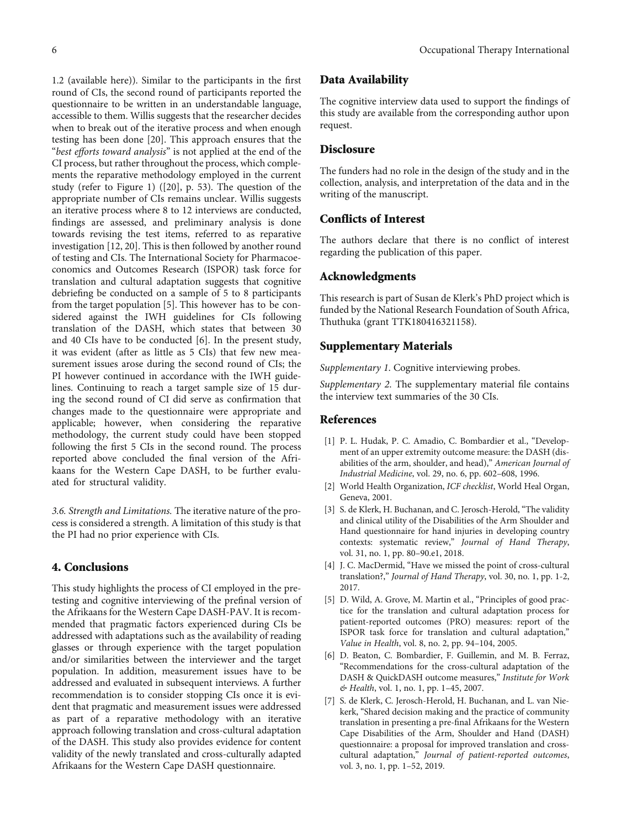<span id="page-5-0"></span>1.2 (available here)). Similar to the participants in the first round of CIs, the second round of participants reported the questionnaire to be written in an understandable language, accessible to them. Willis suggests that the researcher decides when to break out of the iterative process and when enough testing has been done [\[20](#page-6-0)]. This approach ensures that the "best efforts toward analysis" is not applied at the end of the CI process, but rather throughout the process, which complements the reparative methodology employed in the current study (refer to Figure [1\)](#page-3-0) ([[20](#page-6-0)], p. 53). The question of the appropriate number of CIs remains unclear. Willis suggests an iterative process where 8 to 12 interviews are conducted, findings are assessed, and preliminary analysis is done towards revising the test items, referred to as reparative investigation [[12](#page-6-0), [20\]](#page-6-0). This is then followed by another round of testing and CIs. The International Society for Pharmacoeconomics and Outcomes Research (ISPOR) task force for translation and cultural adaptation suggests that cognitive debriefing be conducted on a sample of 5 to 8 participants from the target population [5]. This however has to be considered against the IWH guidelines for CIs following translation of the DASH, which states that between 30 and 40 CIs have to be conducted [6]. In the present study, it was evident (after as little as 5 CIs) that few new measurement issues arose during the second round of CIs; the PI however continued in accordance with the IWH guidelines. Continuing to reach a target sample size of 15 during the second round of CI did serve as confirmation that changes made to the questionnaire were appropriate and applicable; however, when considering the reparative methodology, the current study could have been stopped following the first 5 CIs in the second round. The process reported above concluded the final version of the Afrikaans for the Western Cape DASH, to be further evaluated for structural validity.

3.6. Strength and Limitations. The iterative nature of the process is considered a strength. A limitation of this study is that the PI had no prior experience with CIs.

#### 4. Conclusions

This study highlights the process of CI employed in the pretesting and cognitive interviewing of the prefinal version of the Afrikaans for the Western Cape DASH-PAV. It is recommended that pragmatic factors experienced during CIs be addressed with adaptations such as the availability of reading glasses or through experience with the target population and/or similarities between the interviewer and the target population. In addition, measurement issues have to be addressed and evaluated in subsequent interviews. A further recommendation is to consider stopping CIs once it is evident that pragmatic and measurement issues were addressed as part of a reparative methodology with an iterative approach following translation and cross-cultural adaptation of the DASH. This study also provides evidence for content validity of the newly translated and cross-culturally adapted Afrikaans for the Western Cape DASH questionnaire.

#### Data Availability

The cognitive interview data used to support the findings of this study are available from the corresponding author upon request.

#### **Disclosure**

The funders had no role in the design of the study and in the collection, analysis, and interpretation of the data and in the writing of the manuscript.

#### Conflicts of Interest

The authors declare that there is no conflict of interest regarding the publication of this paper.

#### Acknowledgments

This research is part of Susan de Klerk's PhD project which is funded by the National Research Foundation of South Africa, Thuthuka (grant TTK180416321158).

#### Supplementary Materials

[Supplementary 1](http://downloads.hindawi.com/journals/oti/2020/3749575.f1.pdf). Cognitive interviewing probes.

[Supplementary 2](http://downloads.hindawi.com/journals/oti/2020/3749575.f2.pdf). The supplementary material file contains the interview text summaries of the 30 CIs.

#### References

- [1] P. L. Hudak, P. C. Amadio, C. Bombardier et al., "Development of an upper extremity outcome measure: the DASH (disabilities of the arm, shoulder, and head)," American Journal of Industrial Medicine, vol. 29, no. 6, pp. 602–608, 1996.
- [2] World Health Organization, ICF checklist, World Heal Organ, Geneva, 2001.
- [3] S. de Klerk, H. Buchanan, and C. Jerosch-Herold, "The validity and clinical utility of the Disabilities of the Arm Shoulder and Hand questionnaire for hand injuries in developing country contexts: systematic review," Journal of Hand Therapy, vol. 31, no. 1, pp. 80–90.e1, 2018.
- [4] J. C. MacDermid, "Have we missed the point of cross-cultural translation?," Journal of Hand Therapy, vol. 30, no. 1, pp. 1-2, 2017.
- [5] D. Wild, A. Grove, M. Martin et al., "Principles of good practice for the translation and cultural adaptation process for patient-reported outcomes (PRO) measures: report of the ISPOR task force for translation and cultural adaptation," Value in Health, vol. 8, no. 2, pp. 94–104, 2005.
- [6] D. Beaton, C. Bombardier, F. Guillemin, and M. B. Ferraz, "Recommendations for the cross-cultural adaptation of the DASH & QuickDASH outcome measures," Institute for Work & Health, vol. 1, no. 1, pp. 1–45, 2007.
- [7] S. de Klerk, C. Jerosch-Herold, H. Buchanan, and L. van Niekerk, "Shared decision making and the practice of community translation in presenting a pre-final Afrikaans for the Western Cape Disabilities of the Arm, Shoulder and Hand (DASH) questionnaire: a proposal for improved translation and crosscultural adaptation," Journal of patient-reported outcomes, vol. 3, no. 1, pp. 1–52, 2019.